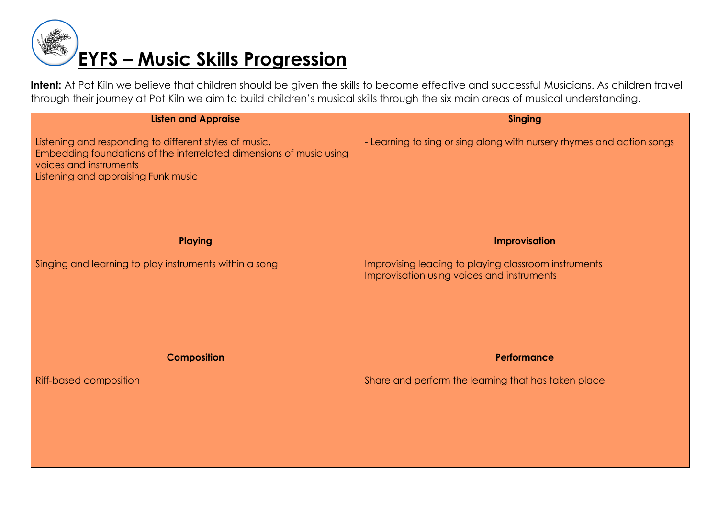

| <b>Listen and Appraise</b>                                                                                                                                                                     | <b>Singing</b>                                                                                     |
|------------------------------------------------------------------------------------------------------------------------------------------------------------------------------------------------|----------------------------------------------------------------------------------------------------|
| Listening and responding to different styles of music.<br>Embedding foundations of the interrelated dimensions of music using<br>voices and instruments<br>Listening and appraising Funk music | - Learning to sing or sing along with nursery rhymes and action songs                              |
| <b>Playing</b>                                                                                                                                                                                 | Improvisation                                                                                      |
| Singing and learning to play instruments within a song                                                                                                                                         | Improvising leading to playing classroom instruments<br>Improvisation using voices and instruments |
| <b>Composition</b>                                                                                                                                                                             | Performance                                                                                        |
| Riff-based composition                                                                                                                                                                         | Share and perform the learning that has taken place                                                |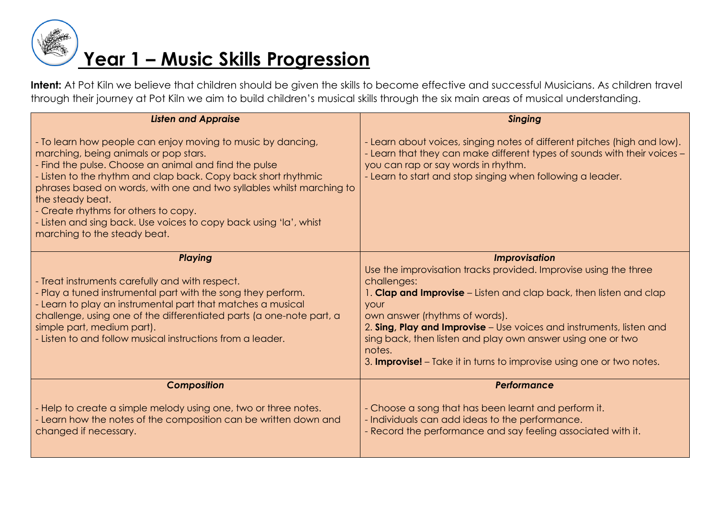

| <b>Listen and Appraise</b>                                                                                                                                                                                                                                                                                                                                                                                                                                                | <b>Singing</b>                                                                                                                                                                                                                                                                                                                                                                                                                                           |
|---------------------------------------------------------------------------------------------------------------------------------------------------------------------------------------------------------------------------------------------------------------------------------------------------------------------------------------------------------------------------------------------------------------------------------------------------------------------------|----------------------------------------------------------------------------------------------------------------------------------------------------------------------------------------------------------------------------------------------------------------------------------------------------------------------------------------------------------------------------------------------------------------------------------------------------------|
| - To learn how people can enjoy moving to music by dancing,<br>marching, being animals or pop stars.<br>- Find the pulse. Choose an animal and find the pulse<br>- Listen to the rhythm and clap back. Copy back short rhythmic<br>phrases based on words, with one and two syllables whilst marching to<br>the steady beat.<br>- Create rhythms for others to copy.<br>- Listen and sing back. Use voices to copy back using 'la', whist<br>marching to the steady beat. | - Learn about voices, singing notes of different pitches (high and low).<br>- Learn that they can make different types of sounds with their voices -<br>you can rap or say words in rhythm.<br>- Learn to start and stop singing when following a leader.                                                                                                                                                                                                |
| <b>Playing</b><br>- Treat instruments carefully and with respect.<br>- Play a tuned instrumental part with the song they perform.<br>- Learn to play an instrumental part that matches a musical<br>challenge, using one of the differentiated parts (a one-note part, a<br>simple part, medium part).<br>- Listen to and follow musical instructions from a leader.                                                                                                      | <b>Improvisation</b><br>Use the improvisation tracks provided. Improvise using the three<br>challenges:<br>1. Clap and Improvise - Listen and clap back, then listen and clap<br>your<br>own answer (rhythms of words).<br>2. Sing, Play and Improvise - Use voices and instruments, listen and<br>sing back, then listen and play own answer using one or two<br>notes.<br>3. <b>Improvise!</b> – Take it in turns to improvise using one or two notes. |
| <b>Composition</b>                                                                                                                                                                                                                                                                                                                                                                                                                                                        | Performance                                                                                                                                                                                                                                                                                                                                                                                                                                              |
| - Help to create a simple melody using one, two or three notes.<br>- Learn how the notes of the composition can be written down and<br>changed if necessary.                                                                                                                                                                                                                                                                                                              | - Choose a song that has been learnt and perform it.<br>- Individuals can add ideas to the performance.<br>- Record the performance and say feeling associated with it.                                                                                                                                                                                                                                                                                  |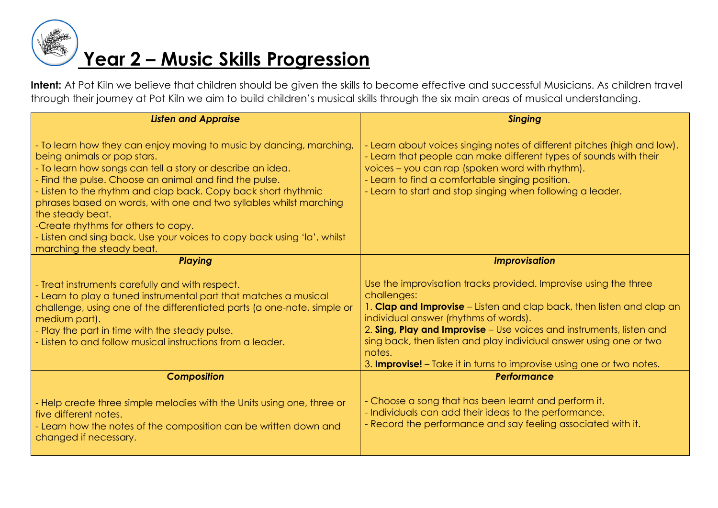

| <b>Listen and Appraise</b>                                                                                                                                                                                                                                                                                                                                                                                                                                                                                                            | <b>Singing</b>                                                                                                                                                                                                                                                                                                                                                                                                                     |
|---------------------------------------------------------------------------------------------------------------------------------------------------------------------------------------------------------------------------------------------------------------------------------------------------------------------------------------------------------------------------------------------------------------------------------------------------------------------------------------------------------------------------------------|------------------------------------------------------------------------------------------------------------------------------------------------------------------------------------------------------------------------------------------------------------------------------------------------------------------------------------------------------------------------------------------------------------------------------------|
|                                                                                                                                                                                                                                                                                                                                                                                                                                                                                                                                       |                                                                                                                                                                                                                                                                                                                                                                                                                                    |
| - To learn how they can enjoy moving to music by dancing, marching,<br>being animals or pop stars.<br>- To learn how songs can tell a story or describe an idea.<br>- Find the pulse. Choose an animal and find the pulse.<br>- Listen to the rhythm and clap back. Copy back short rhythmic<br>phrases based on words, with one and two syllables whilst marching<br>the steady beat.<br>-Create rhythms for others to copy.<br>- Listen and sing back. Use your voices to copy back using 'la', whilst<br>marching the steady beat. | - Learn about voices singing notes of different pitches (high and low).<br>- Learn that people can make different types of sounds with their<br>voices - you can rap (spoken word with rhythm).<br>- Learn to find a comfortable singing position.<br>- Learn to start and stop singing when following a leader.                                                                                                                   |
| <b>Playing</b>                                                                                                                                                                                                                                                                                                                                                                                                                                                                                                                        | <b>Improvisation</b>                                                                                                                                                                                                                                                                                                                                                                                                               |
| - Treat instruments carefully and with respect.<br>- Learn to play a tuned instrumental part that matches a musical<br>challenge, using one of the differentiated parts (a one-note, simple or<br>medium part).<br>- Play the part in time with the steady pulse.<br>- Listen to and follow musical instructions from a leader.                                                                                                                                                                                                       | Use the improvisation tracks provided. Improvise using the three<br>challenges:<br>1. Clap and Improvise – Listen and clap back, then listen and clap an<br>individual answer (rhythms of words).<br>2. Sing, Play and Improvise - Use voices and instruments, listen and<br>sing back, then listen and play individual answer using one or two<br>notes.<br>3. Improvise! - Take it in turns to improvise using one or two notes. |
| <b>Composition</b>                                                                                                                                                                                                                                                                                                                                                                                                                                                                                                                    | Performance                                                                                                                                                                                                                                                                                                                                                                                                                        |
| - Help create three simple melodies with the Units using one, three or<br>five different notes.<br>- Learn how the notes of the composition can be written down and<br>changed if necessary.                                                                                                                                                                                                                                                                                                                                          | - Choose a song that has been learnt and perform it.<br>- Individuals can add their ideas to the performance.<br>- Record the performance and say feeling associated with it.                                                                                                                                                                                                                                                      |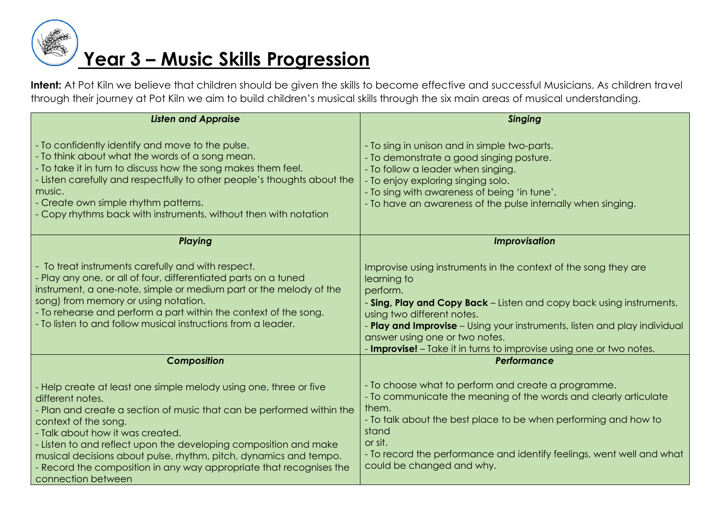

| <b>Listen and Appraise</b>                                                                                                                                                                                                                                                                                                                                                                                                                                       | <b>Singing</b>                                                                                                                                                                                                                                                                                                                                                                          |
|------------------------------------------------------------------------------------------------------------------------------------------------------------------------------------------------------------------------------------------------------------------------------------------------------------------------------------------------------------------------------------------------------------------------------------------------------------------|-----------------------------------------------------------------------------------------------------------------------------------------------------------------------------------------------------------------------------------------------------------------------------------------------------------------------------------------------------------------------------------------|
| - To confidently identify and move to the pulse.<br>- To think about what the words of a song mean.<br>- To take it in turn to discuss how the song makes them feel.<br>- Listen carefully and respectfully to other people's thoughts about the<br>music.<br>- Create own simple rhythm patterns.<br>- Copy rhythms back with instruments, without then with notation                                                                                           | - To sing in unison and in simple two-parts.<br>- To demonstrate a good singing posture.<br>- To follow a leader when singing.<br>- To enjoy exploring singing solo.<br>- To sing with awareness of being 'in tune'.<br>- To have an awareness of the pulse internally when singing.                                                                                                    |
| Playing                                                                                                                                                                                                                                                                                                                                                                                                                                                          | <b>Improvisation</b>                                                                                                                                                                                                                                                                                                                                                                    |
| - To treat instruments carefully and with respect.<br>- Play any one, or all of four, differentiated parts on a tuned<br>instrument, a one-note, simple or medium part or the melody of the<br>song) from memory or using notation.<br>- To rehearse and perform a part within the context of the song.<br>- To listen to and follow musical instructions from a leader.                                                                                         | Improvise using instruments in the context of the song they are<br>learning to<br>perform.<br>- Sing, Play and Copy Back - Listen and copy back using instruments,<br>using two different notes.<br>- Play and Improvise – Using your instruments, listen and play individual<br>answer using one or two notes.<br>- Improvise! - Take it in turns to improvise using one or two notes. |
| <b>Composition</b>                                                                                                                                                                                                                                                                                                                                                                                                                                               | Performance                                                                                                                                                                                                                                                                                                                                                                             |
| - Help create at least one simple melody using one, three or five<br>different notes.<br>- Plan and create a section of music that can be performed within the<br>context of the song.<br>- Talk about how it was created.<br>- Listen to and reflect upon the developing composition and make<br>musical decisions about pulse, rhythm, pitch, dynamics and tempo.<br>- Record the composition in any way appropriate that recognises the<br>connection between | - To choose what to perform and create a programme.<br>- To communicate the meaning of the words and clearly articulate<br>them.<br>- To talk about the best place to be when performing and how to<br>stand<br>or sit.<br>- To record the performance and identify feelings, went well and what<br>could be changed and why.                                                           |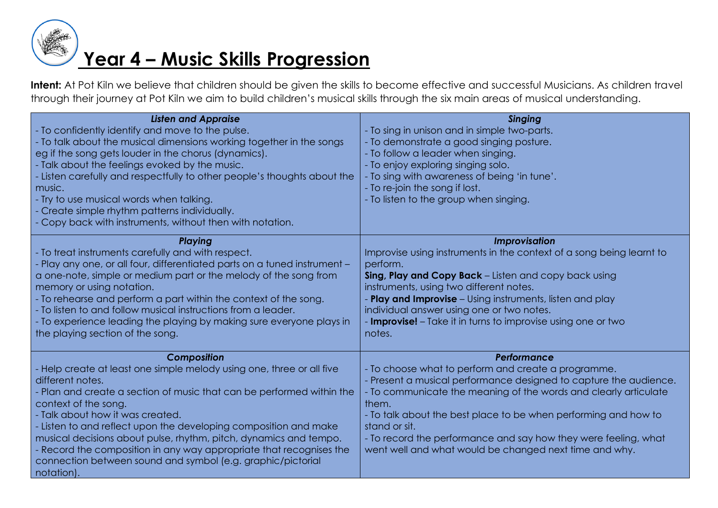

| <b>Listen and Appraise</b><br>- To confidently identify and move to the pulse.<br>- To talk about the musical dimensions working together in the songs<br>eg if the song gets louder in the chorus (dynamics).<br>- Talk about the feelings evoked by the music.                                                                                                                                                                                                                                                                           | <b>Singing</b><br>- To sing in unison and in simple two-parts.<br>- To demonstrate a good singing posture.<br>- To follow a leader when singing.<br>- To enjoy exploring singing solo.                                                                                                                                                                                                                                              |
|--------------------------------------------------------------------------------------------------------------------------------------------------------------------------------------------------------------------------------------------------------------------------------------------------------------------------------------------------------------------------------------------------------------------------------------------------------------------------------------------------------------------------------------------|-------------------------------------------------------------------------------------------------------------------------------------------------------------------------------------------------------------------------------------------------------------------------------------------------------------------------------------------------------------------------------------------------------------------------------------|
| - Listen carefully and respectfully to other people's thoughts about the<br>music.<br>- Try to use musical words when talking.<br>- Create simple rhythm patterns individually.<br>- Copy back with instruments, without then with notation.                                                                                                                                                                                                                                                                                               | - To sing with awareness of being 'in tune'.<br>- To re-join the song if lost.<br>- To listen to the group when singing.                                                                                                                                                                                                                                                                                                            |
| <b>Playing</b><br>- To treat instruments carefully and with respect.<br>- Play any one, or all four, differentiated parts on a tuned instrument -<br>a one-note, simple or medium part or the melody of the song from<br>memory or using notation.<br>- To rehearse and perform a part within the context of the song.<br>- To listen to and follow musical instructions from a leader.<br>- To experience leading the playing by making sure everyone plays in<br>the playing section of the song.                                        | <b>Improvisation</b><br>Improvise using instruments in the context of a song being learnt to<br>perform.<br>Sing, Play and Copy Back - Listen and copy back using<br>instruments, using two different notes.<br>Play and Improvise - Using instruments, listen and play<br>individual answer using one or two notes.<br>- <b>Improvise!</b> – Take it in turns to improvise using one or two<br>notes.                              |
| Composition<br>- Help create at least one simple melody using one, three or all five<br>different notes.<br>- Plan and create a section of music that can be performed within the<br>context of the song.<br>- Talk about how it was created.<br>- Listen to and reflect upon the developing composition and make<br>musical decisions about pulse, rhythm, pitch, dynamics and tempo.<br>- Record the composition in any way appropriate that recognises the<br>connection between sound and symbol (e.g. graphic/pictorial<br>notation). | Performance<br>- To choose what to perform and create a programme.<br>Present a musical performance designed to capture the audience.<br>- To communicate the meaning of the words and clearly articulate<br>them.<br>- To talk about the best place to be when performing and how to<br>stand or sit.<br>- To record the performance and say how they were feeling, what<br>went well and what would be changed next time and why. |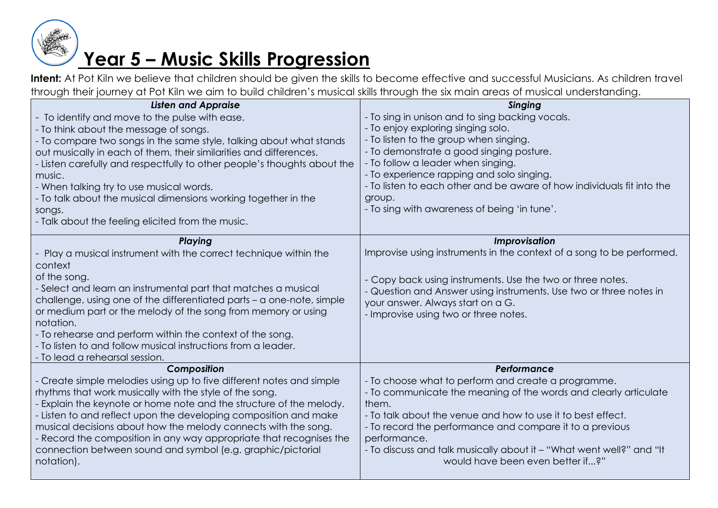

| <b>Listen and Appraise</b>                                               | <b>Singing</b>                                                         |
|--------------------------------------------------------------------------|------------------------------------------------------------------------|
| - To identify and move to the pulse with ease.                           | - To sing in unison and to sing backing vocals.                        |
| - To think about the message of songs.                                   | - To enjoy exploring singing solo.                                     |
| - To compare two songs in the same style, talking about what stands      | - To listen to the group when singing.                                 |
| out musically in each of them, their similarities and differences.       | - To demonstrate a good singing posture.                               |
| - Listen carefully and respectfully to other people's thoughts about the | - To follow a leader when singing.                                     |
| music.                                                                   | - To experience rapping and solo singing.                              |
| - When talking try to use musical words.                                 | - To listen to each other and be aware of how individuals fit into the |
| - To talk about the musical dimensions working together in the           | group.                                                                 |
| songs.                                                                   | - To sing with awareness of being 'in tune'.                           |
| - Talk about the feeling elicited from the music.                        |                                                                        |
| Playing                                                                  | Improvisation                                                          |
| Play a musical instrument with the correct technique within the          | Improvise using instruments in the context of a song to be performed.  |
| context                                                                  |                                                                        |
| of the song.                                                             | Copy back using instruments. Use the two or three notes.               |
| - Select and learn an instrumental part that matches a musical           | - Question and Answer using instruments. Use two or three notes in     |
| challenge, using one of the differentiated parts - a one-note, simple    | your answer. Always start on a G.                                      |
| or medium part or the melody of the song from memory or using            | - Improvise using two or three notes.                                  |
| notation.                                                                |                                                                        |
| - To rehearse and perform within the context of the song.                |                                                                        |
| - To listen to and follow musical instructions from a leader.            |                                                                        |
| - To lead a rehearsal session.                                           |                                                                        |
| Composition                                                              | Performance                                                            |
| Create simple melodies using up to five different notes and simple       | - To choose what to perform and create a programme.                    |
| rhythms that work musically with the style of the song.                  | - To communicate the meaning of the words and clearly articulate       |
| Explain the keynote or home note and the structure of the melody.        | them.                                                                  |
| Listen to and reflect upon the developing composition and make           | - To talk about the venue and how to use it to best effect.            |
| musical decisions about how the melody connects with the song.           | - To record the performance and compare it to a previous               |
| Record the composition in any way appropriate that recognises the        | performance.                                                           |
| connection between sound and symbol (e.g. graphic/pictorial              | - To discuss and talk musically about it – "What went well?" and "It   |
| notation).                                                               | would have been even better if?"                                       |
|                                                                          |                                                                        |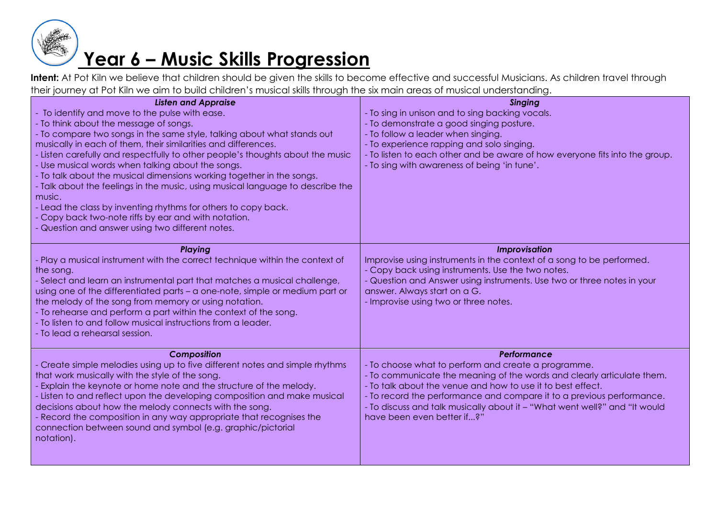

| <b>Listen and Appraise</b><br>To identify and move to the pulse with ease.<br>- To think about the message of songs.<br>- To compare two songs in the same style, talking about what stands out<br>musically in each of them, their similarities and differences.<br>- Listen carefully and respectfully to other people's thoughts about the music<br>- Use musical words when talking about the songs.<br>- To talk about the musical dimensions working together in the songs.<br>- Talk about the feelings in the music, using musical language to describe the<br>music.<br>- Lead the class by inventing rhythms for others to copy back. | <b>Singing</b><br>- To sing in unison and to sing backing vocals.<br>To demonstrate a good singing posture.<br>To follow a leader when singing.<br>To experience rapping and solo singing.<br>- To listen to each other and be aware of how everyone fits into the group.<br>- To sing with awareness of being 'in tune'.                                                                        |
|-------------------------------------------------------------------------------------------------------------------------------------------------------------------------------------------------------------------------------------------------------------------------------------------------------------------------------------------------------------------------------------------------------------------------------------------------------------------------------------------------------------------------------------------------------------------------------------------------------------------------------------------------|--------------------------------------------------------------------------------------------------------------------------------------------------------------------------------------------------------------------------------------------------------------------------------------------------------------------------------------------------------------------------------------------------|
| Copy back two-note riffs by ear and with notation.<br>Question and answer using two different notes.                                                                                                                                                                                                                                                                                                                                                                                                                                                                                                                                            |                                                                                                                                                                                                                                                                                                                                                                                                  |
| <b>Playing</b><br>- Play a musical instrument with the correct technique within the context of<br>the song.<br>- Select and learn an instrumental part that matches a musical challenge,<br>using one of the differentiated parts - a one-note, simple or medium part or<br>the melody of the song from memory or using notation.<br>- To rehearse and perform a part within the context of the song.<br>- To listen to and follow musical instructions from a leader.<br>- To lead a rehearsal session.                                                                                                                                        | Improvisation<br>Improvise using instruments in the context of a song to be performed.<br>Copy back using instruments. Use the two notes.<br>- Question and Answer using instruments. Use two or three notes in your<br>answer. Always start on a G.<br>- Improvise using two or three notes.                                                                                                    |
| Composition<br>Create simple melodies using up to five different notes and simple rhythms<br>that work musically with the style of the song.<br>Explain the keynote or home note and the structure of the melody.<br>- Listen to and reflect upon the developing composition and make musical<br>decisions about how the melody connects with the song.<br>- Record the composition in any way appropriate that recognises the<br>connection between sound and symbol (e.g. graphic/pictorial<br>notation).                                                                                                                                     | Performance<br>- To choose what to perform and create a programme.<br>- To communicate the meaning of the words and clearly articulate them.<br>- To talk about the venue and how to use it to best effect.<br>- To record the performance and compare it to a previous performance.<br>- To discuss and talk musically about it - "What went well?" and "It would<br>have been even better if?" |